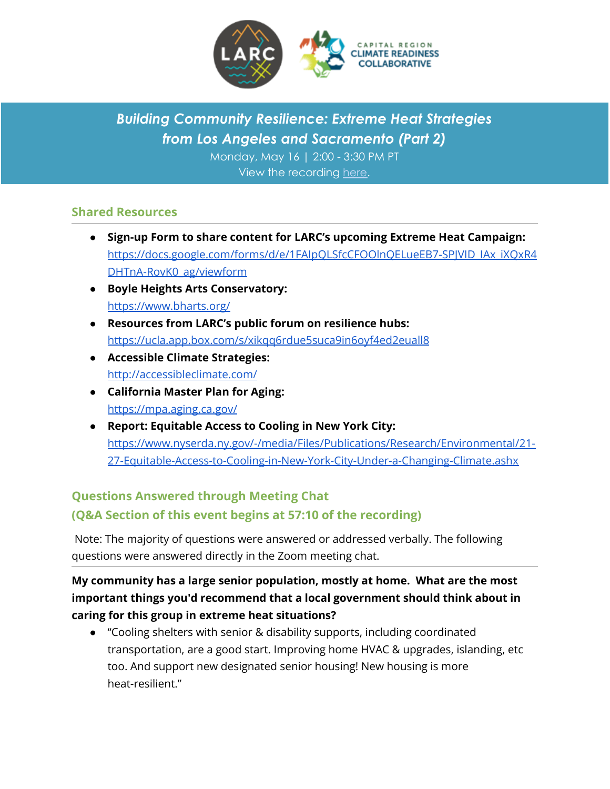

## *Building Community Resilience: Extreme Heat Strategies from Los Angeles and Sacramento (Part 2)*

Monday, May 16 | 2:00 - 3:30 PM PT View the recording [here.](https://www.youtube.com/watch?v=VpOP4M3Kd-E)

## **Shared Resources**

- **● Sign-up Form to share content for LARC's upcoming Extreme Heat Campaign:** [https://docs.google.com/forms/d/e/1FAIpQLSfcCFOOlnQELueEB7-SPJVID\\_IAx\\_iXQxR4](https://docs.google.com/forms/d/e/1FAIpQLSfcCFOOlnQELueEB7-SPJVID_IAx_iXQxR4DHTnA-RovK0_ag/viewform) [DHTnA-RovK0\\_ag/viewform](https://docs.google.com/forms/d/e/1FAIpQLSfcCFOOlnQELueEB7-SPJVID_IAx_iXQxR4DHTnA-RovK0_ag/viewform)
- **● Boyle Heights Arts Conservatory:** <https://www.bharts.org/>
- **● Resources from LARC's public forum on resilience hubs:** <https://ucla.app.box.com/s/xikqq6rdue5suca9in6oyf4ed2euall8>
- **● Accessible Climate Strategies:** <http://accessibleclimate.com/>
- **● California Master Plan for Aging:** <https://mpa.aging.ca.gov/>
- **● Report: Equitable Access to Cooling in New York City:** [https://www.nyserda.ny.gov/-/media/Files/Publications/Research/Environmental/21-](https://www.nyserda.ny.gov/-/media/Files/Publications/Research/Environmental/21-27-Equitable-Access-to-Cooling-in-New-York-City-Under-a-Changing-Climate.ashx) [27-Equitable-Access-to-Cooling-in-New-York-City-Under-a-Changing-Climate.ashx](https://www.nyserda.ny.gov/-/media/Files/Publications/Research/Environmental/21-27-Equitable-Access-to-Cooling-in-New-York-City-Under-a-Changing-Climate.ashx)

## **Questions Answered through Meeting Chat (Q&A Section of this event begins at 57:10 of the recording)**

Note: The majority of questions were answered or addressed verbally. The following questions were answered directly in the Zoom meeting chat.

**My community has a large senior population, mostly at home. What are the most important things you'd recommend that a local government should think about in caring for this group in extreme heat situations?**

● "Cooling shelters with senior & disability supports, including coordinated transportation, are a good start. Improving home HVAC & upgrades, islanding, etc too. And support new designated senior housing! New housing is more heat-resilient."